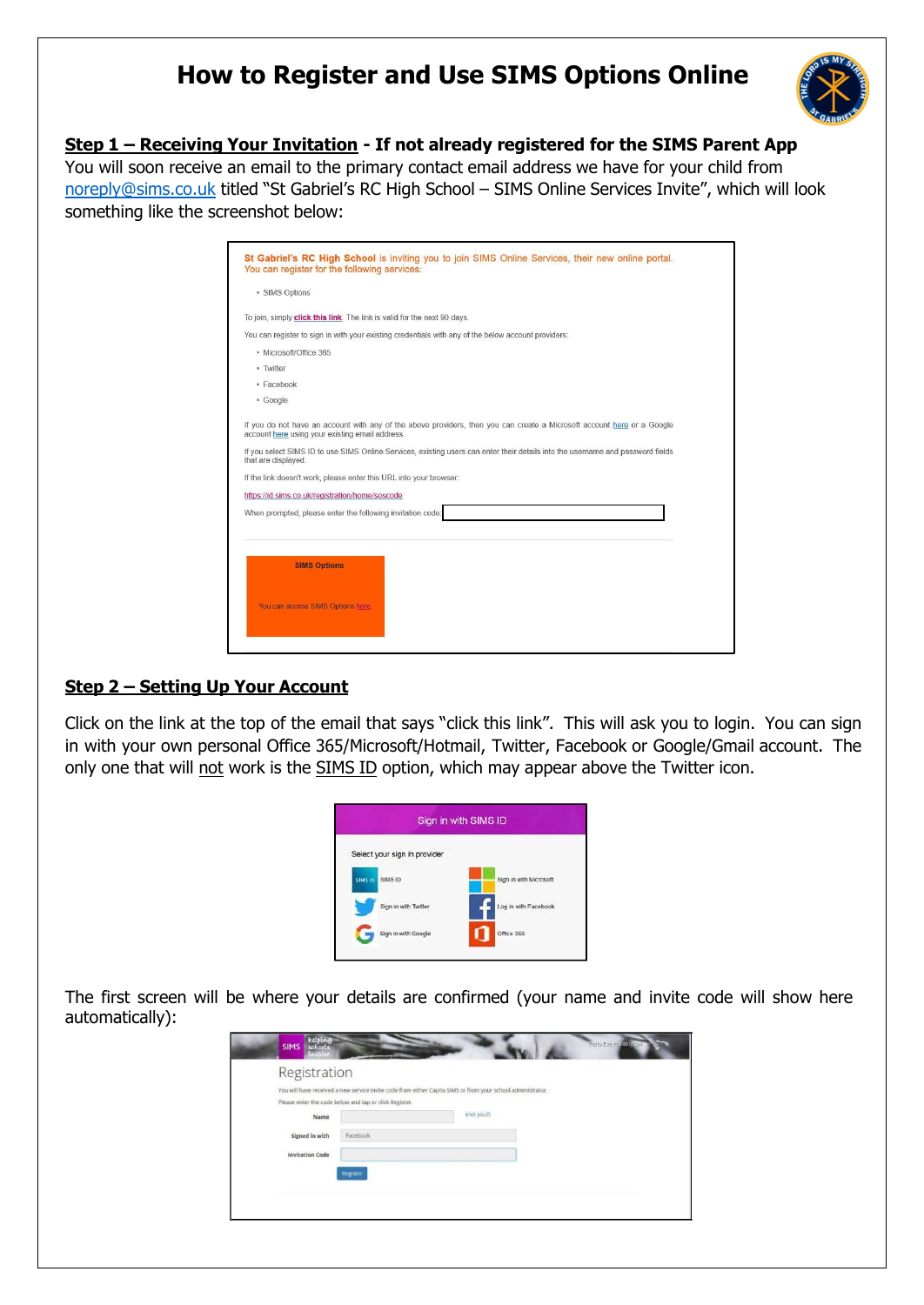# **How to Register and Use SIMS Options Online**



# **Step 1 – Receiving Your Invitation - If not already registered for the SIMS Parent App**

You will soon receive an email to the primary contact email address we have for your child from [noreply@sims.co.uk](mailto:noreply@sims.co.uk) titled "St Gabriel's RC High School - SIMS Online Services Invite", which will look something like the screenshot below:

| You can register for the following services:                                                                                                                                                               | St Gabriel's RC High School is inviting you to join SIMS Online Services, their new online portal.                              |
|------------------------------------------------------------------------------------------------------------------------------------------------------------------------------------------------------------|---------------------------------------------------------------------------------------------------------------------------------|
| · SIMS Options                                                                                                                                                                                             |                                                                                                                                 |
| To join, simply click this link. The link is valid for the next 90 days.                                                                                                                                   |                                                                                                                                 |
|                                                                                                                                                                                                            | You can register to sign in with your existing credentials with any of the below account providers:                             |
| · Microsoft/Office 365                                                                                                                                                                                     |                                                                                                                                 |
| - Twitter                                                                                                                                                                                                  |                                                                                                                                 |
| · Facebook                                                                                                                                                                                                 |                                                                                                                                 |
| · Google                                                                                                                                                                                                   |                                                                                                                                 |
| that are displayed.<br>If the link doesn't work, please enter this URL into your browser:<br>https://id.sims.co.uk/registration/home/soscode<br>When prompted, please enter the following invitation code: | If you select SIMS ID to use SIMS Online Services, existing users can enter their details into the username and password fields |
| <b>SIMS Options</b>                                                                                                                                                                                        |                                                                                                                                 |
|                                                                                                                                                                                                            |                                                                                                                                 |
| You can access SIMS Options here.                                                                                                                                                                          |                                                                                                                                 |

# **Step 2 – Setting Up Your Account**

Click on the link at the top of the email that says "click this link". This will ask you to login. You can sign in with your own personal Office 365/Microsoft/Hotmail, Twitter, Facebook or Google/Gmail account. The only one that will not work is the SIMS ID option, which may appear above the Twitter icon.

| Sign in with SIMS ID         |                        |  |  |  |
|------------------------------|------------------------|--|--|--|
| Select your sign in provider |                        |  |  |  |
| SIMS ID<br>SIMS ID:          | Sign in with Microsoft |  |  |  |
| Sign in with Twitter         | Log in with Facebook   |  |  |  |
| Sign in with Google          | Office 365             |  |  |  |

The first screen will be where your details are confirmed (your name and invite code will show here automatically):

| <b>SIMS</b> helping<br><b>IW-DEY!</b>    | <b>Hello Eve Huntington</b>                                                                                                                                                         |
|------------------------------------------|-------------------------------------------------------------------------------------------------------------------------------------------------------------------------------------|
| Registration<br>Name                     | You will have received a new service invite code from either Capita SIMS or from your school administrator.<br>Please enter the code below and tap or click Register.<br>(not you?) |
| Signed in with<br><b>Invitation Code</b> | Facebook<br>Register                                                                                                                                                                |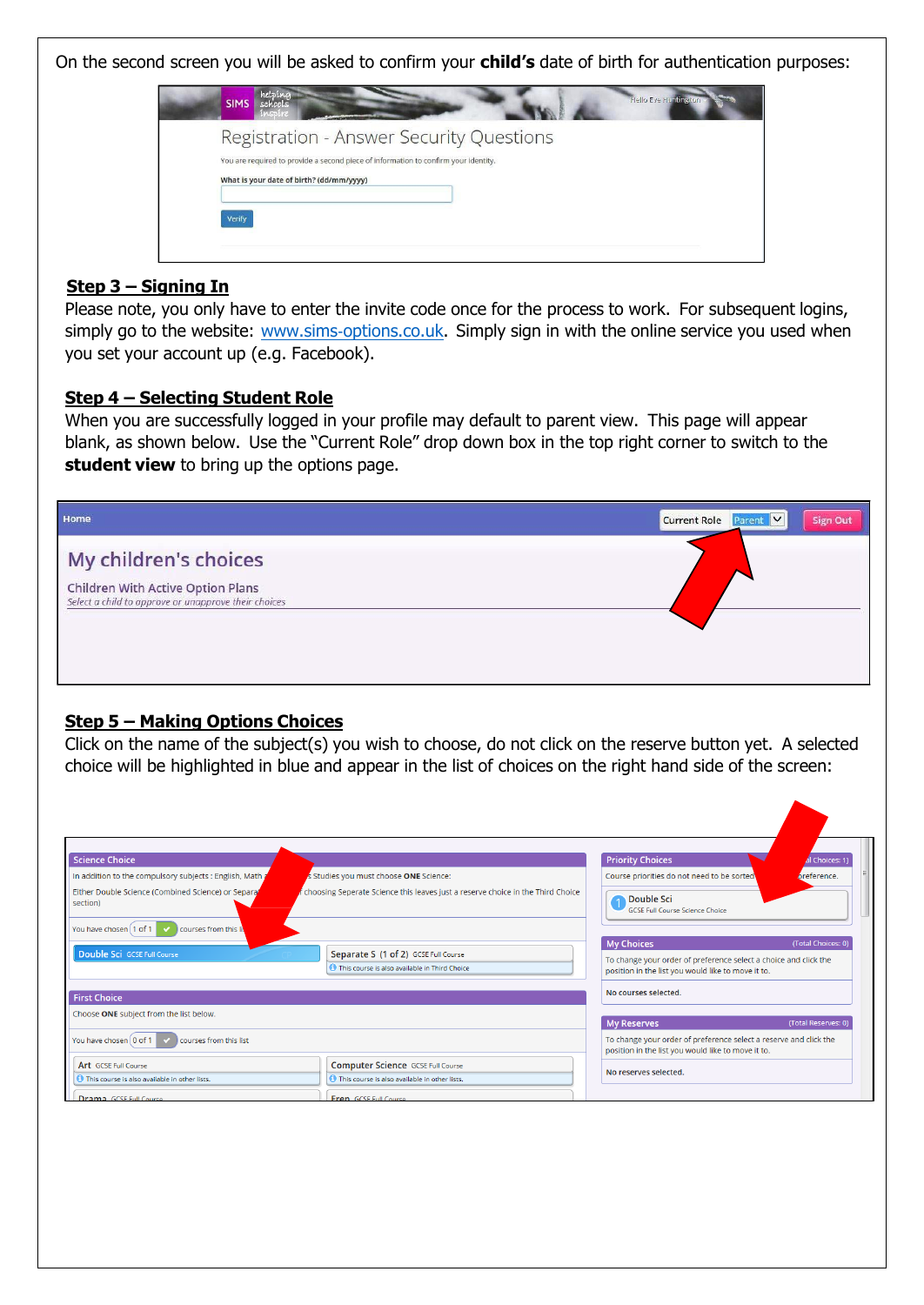On the second screen you will be asked to confirm your **child's** date of birth for authentication purposes:

| helping<br>Hello Eve Huntington<br><b>SIMS</b><br>schools<br>M.Chi.ri               |
|-------------------------------------------------------------------------------------|
| Registration - Answer Security Questions                                            |
| You are required to provide a second piece of information to confirm your identity. |
| What is your date of birth? (dd/mm/yyyy)                                            |
| Verify                                                                              |
|                                                                                     |
|                                                                                     |

#### **Step 3 – Signing In**

Please note, you only have to enter the invite code once for the process to work. For subsequent logins, simply go to the website: www.sims-options.co.uk. Simply sign in with the online service you used when you set your account up (e.g. Facebook).

#### **Step 4 – Selecting Student Role**

When you are successfully logged in your profile may default to parent view. This page will appear blank, as shown below. Use the "Current Role" drop down box in the top right corner to switch to the **student view** to bring up the options page.



#### **Step 5 – Making Options Choices**

Click on the name of the subject(s) you wish to choose, do not click on the reserve button yet. A selected choice will be highlighted in blue and appear in the list of choices on the right hand side of the screen:

| <b>Science Choice</b>                                                                                             |                                                                                                | <b>Priority Choices</b>                                                                                                                     | I Choices: 1)       |
|-------------------------------------------------------------------------------------------------------------------|------------------------------------------------------------------------------------------------|---------------------------------------------------------------------------------------------------------------------------------------------|---------------------|
| In addition to the compulsory subjects : English, Math a                                                          | s Studies you must choose ONE Science:                                                         | Course priorities do not need to be sorted                                                                                                  | preference.         |
| Either Double Science (Combined Science) or Separa<br>section)<br>You have chosen (1 of 1<br>courses from this li | choosing Seperate Science this leaves just a reserve choice in the Third Choice                | Double Sci<br><b>GCSE Full Course Science Choice</b>                                                                                        |                     |
| Double Sci GCSE Full Course                                                                                       | Separate S (1 of 2) GCSE Full Course<br><b>O</b> This course is also available in Third Choice | <b>My Choices</b><br>To change your order of preference select a choice and click the<br>position in the list you would like to move it to. | (Total Choices: 0)  |
| <b>First Choice</b>                                                                                               |                                                                                                | No courses selected.                                                                                                                        |                     |
| Choose ONE subject from the list below.                                                                           |                                                                                                | <b>My Reserves</b>                                                                                                                          | (Total Reserves: 0) |
| You have chosen 0 of 1<br>courses from this list                                                                  |                                                                                                | To change your order of preference select a reserve and click the<br>position in the list you would like to move it to.                     |                     |
| Art GCSE Full Course                                                                                              | Computer Science GCSE Full Course                                                              | No reserves selected.                                                                                                                       |                     |
| This course is also available in other lists.                                                                     | This course is also available in other lists.                                                  |                                                                                                                                             |                     |
| Drama GCSE Full Course                                                                                            | Fron GCSE Full Course                                                                          |                                                                                                                                             |                     |